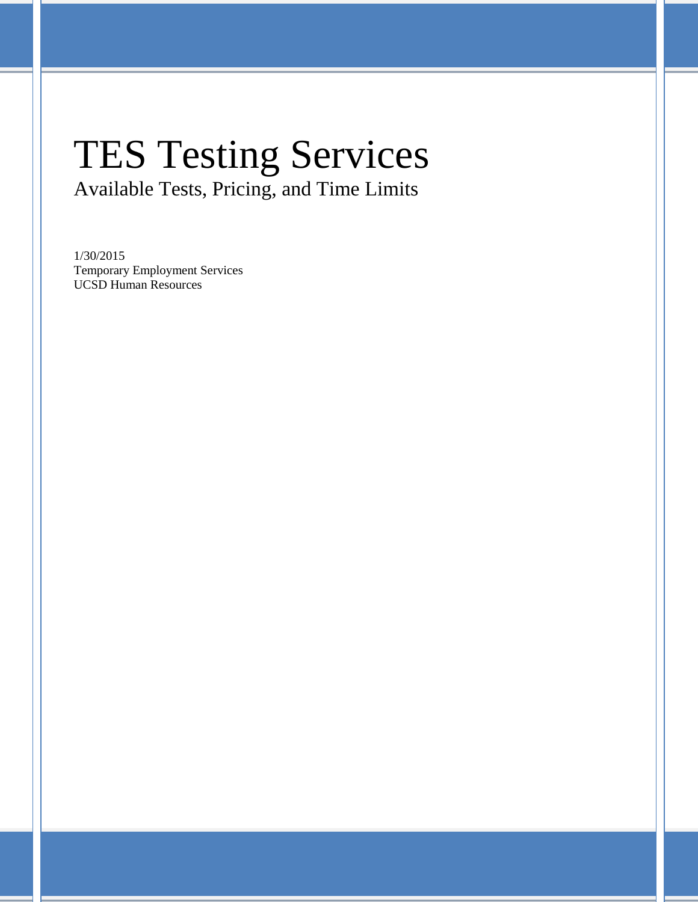# TES Testing Services Available Tests, Pricing, and Time Limits

1/30/2015 Temporary Employment Services UCSD Human Resources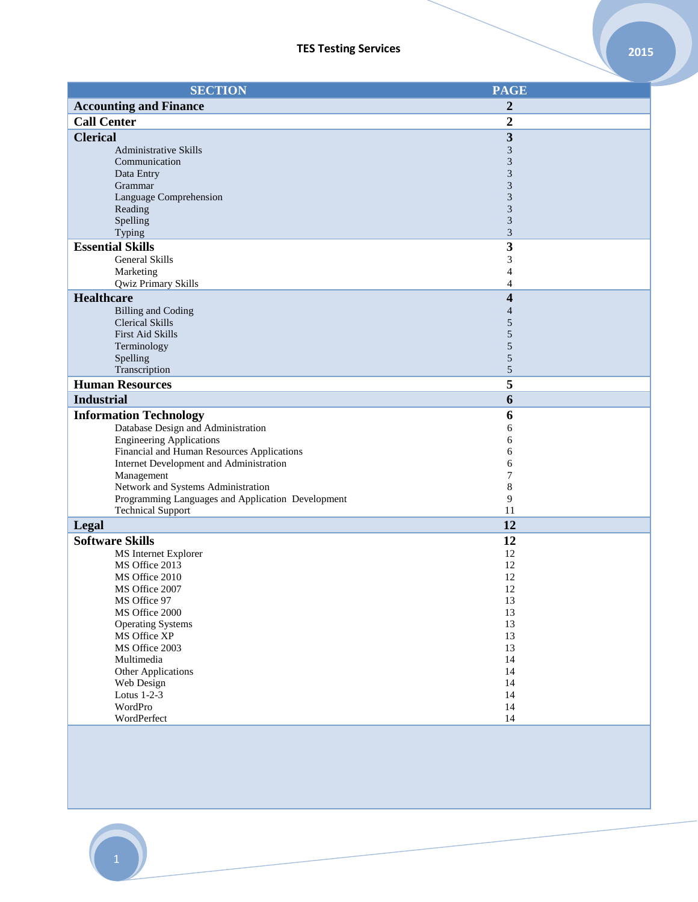| <b>SECTION</b>                                    | <b>PAGE</b>      |
|---------------------------------------------------|------------------|
| <b>Accounting and Finance</b>                     | 2                |
| <b>Call Center</b>                                | $\boldsymbol{2}$ |
| <b>Clerical</b>                                   | 3                |
| <b>Administrative Skills</b>                      | 3                |
| Communication                                     | 3                |
| Data Entry                                        | 3                |
| Grammar                                           | 3                |
| Language Comprehension                            | 3                |
| Reading                                           | 3                |
| Spelling<br>Typing                                | 3<br>3           |
| <b>Essential Skills</b>                           | 3                |
| General Skills                                    | 3                |
| Marketing                                         | 4                |
| Qwiz Primary Skills                               | 4                |
| <b>Healthcare</b>                                 | 4                |
| <b>Billing and Coding</b>                         | 4                |
| <b>Clerical Skills</b>                            | 5                |
| First Aid Skills                                  | 5                |
| Terminology                                       | 5                |
| Spelling                                          | 5                |
| Transcription                                     | 5                |
| <b>Human Resources</b>                            | 5                |
| <b>Industrial</b>                                 | 6                |
| <b>Information Technology</b>                     | 6                |
| Database Design and Administration                | 6                |
| <b>Engineering Applications</b>                   | 6                |
| Financial and Human Resources Applications        | 6                |
| Internet Development and Administration           | 6<br>7           |
| Management<br>Network and Systems Administration  | 8                |
| Programming Languages and Application Development | 9                |
| <b>Technical Support</b>                          | 11               |
| Legal                                             | 12               |
| <b>Software Skills</b>                            | 12               |
| MS Internet Explorer                              | 12               |
| MS Office 2013                                    | 12               |
| MS Office 2010                                    | 12               |
| MS Office 2007                                    | 12               |
| MS Office 97                                      | 13               |
| MS Office 2000                                    | 13               |
| <b>Operating Systems</b>                          | 13               |
| MS Office XP<br>MS Office 2003                    | 13<br>13         |
| Multimedia                                        | 14               |
| Other Applications                                | 14               |
| Web Design                                        | 14               |
| Lotus 1-2-3                                       | 14               |
| WordPro                                           | 14               |
| WordPerfect                                       | 14               |
|                                                   |                  |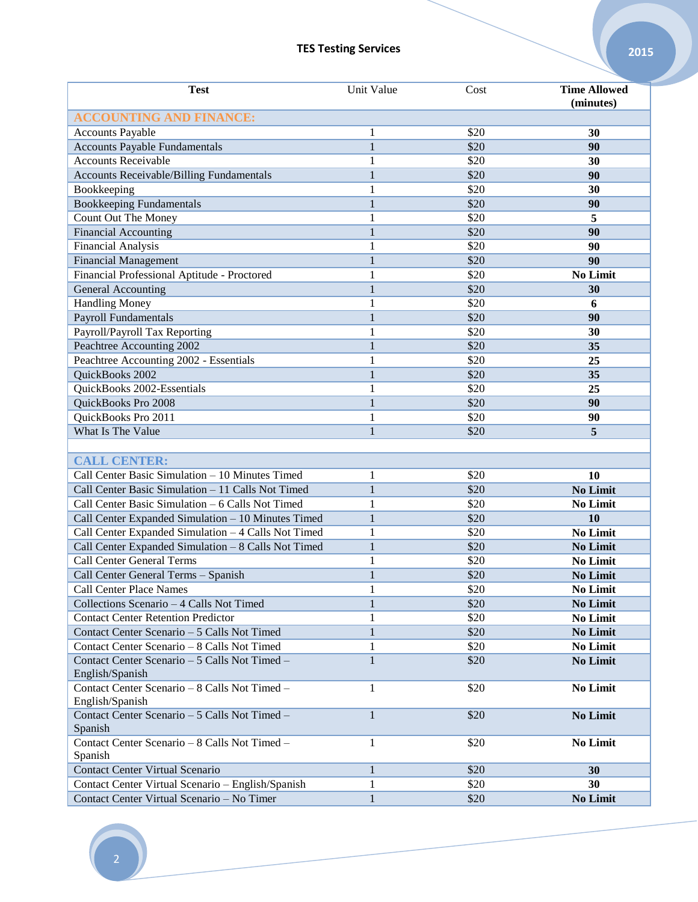| <b>Test</b>                                                            | Unit Value        | Cost | <b>Time Allowed</b><br>(minutes) |
|------------------------------------------------------------------------|-------------------|------|----------------------------------|
| <b>ACCOUNTING AND FINANCE:</b>                                         |                   |      |                                  |
| <b>Accounts Payable</b>                                                | 1                 | \$20 | 30                               |
| <b>Accounts Payable Fundamentals</b>                                   | $\mathbf{1}$      | \$20 | 90                               |
| <b>Accounts Receivable</b>                                             | 1                 | \$20 | 30                               |
| Accounts Receivable/Billing Fundamentals                               | $\mathbf{1}$      | \$20 | 90                               |
| Bookkeeping                                                            | 1                 | \$20 | 30                               |
| <b>Bookkeeping Fundamentals</b>                                        | $\mathbf{1}$      | \$20 | 90                               |
| Count Out The Money                                                    | 1                 | \$20 | 5                                |
| <b>Financial Accounting</b>                                            | $\mathbf{1}$      | \$20 | 90                               |
| <b>Financial Analysis</b>                                              | 1                 | \$20 | 90                               |
| <b>Financial Management</b>                                            | $\mathbf{1}$      | \$20 | 90                               |
| Financial Professional Aptitude - Proctored                            | $\mathbf{1}$      | \$20 | No Limit                         |
| General Accounting                                                     | $\mathbf{1}$      | \$20 | 30                               |
| <b>Handling Money</b>                                                  | 1                 | \$20 | 6                                |
| <b>Payroll Fundamentals</b>                                            | $\mathbf{1}$      | \$20 | 90                               |
|                                                                        | 1                 | \$20 | 30                               |
| Payroll/Payroll Tax Reporting<br>Peachtree Accounting 2002             | 1                 | \$20 | 35                               |
| Peachtree Accounting 2002 - Essentials                                 |                   | \$20 | 25                               |
| QuickBooks 2002                                                        | 1<br>$\mathbf{1}$ |      |                                  |
|                                                                        |                   | \$20 | 35                               |
| QuickBooks 2002-Essentials                                             | 1                 | \$20 | 25                               |
| QuickBooks Pro 2008                                                    | $\mathbf{1}$      | \$20 | 90                               |
| QuickBooks Pro 2011                                                    | 1                 | \$20 | 90                               |
| What Is The Value                                                      | $\mathbf{1}$      | \$20 | 5                                |
|                                                                        |                   |      |                                  |
| <b>CALL CENTER:</b><br>Call Center Basic Simulation - 10 Minutes Timed |                   |      |                                  |
|                                                                        | 1                 | \$20 | 10                               |
| Call Center Basic Simulation - 11 Calls Not Timed                      | 1                 | \$20 | <b>No Limit</b>                  |
| Call Center Basic Simulation - 6 Calls Not Timed                       | 1                 | \$20 | No Limit                         |
| Call Center Expanded Simulation - 10 Minutes Timed                     | 1                 | \$20 | 10                               |
| Call Center Expanded Simulation - 4 Calls Not Timed                    | 1                 | \$20 | No Limit                         |
| Call Center Expanded Simulation - 8 Calls Not Timed                    | $\mathbf{1}$      | \$20 | <b>No Limit</b>                  |
| <b>Call Center General Terms</b>                                       | 1                 | \$20 | No Limit                         |
| Call Center General Terms - Spanish                                    | $\mathbf{1}$      | \$20 | No Limit                         |
| <b>Call Center Place Names</b>                                         | $\mathbf{1}$      | \$20 | No Limit                         |
| Collections Scenario - 4 Calls Not Timed                               | $\mathbf{1}$      | \$20 | <b>No Limit</b>                  |
| <b>Contact Center Retention Predictor</b>                              | 1                 | \$20 | <b>No Limit</b>                  |
| Contact Center Scenario - 5 Calls Not Timed                            | $\mathbf{1}$      | \$20 | <b>No Limit</b>                  |
| Contact Center Scenario - 8 Calls Not Timed                            | 1                 | \$20 | No Limit                         |
| Contact Center Scenario - 5 Calls Not Timed -                          | 1                 | \$20 | <b>No Limit</b>                  |
| English/Spanish                                                        |                   |      |                                  |
| Contact Center Scenario - 8 Calls Not Timed -<br>English/Spanish       | 1                 | \$20 | No Limit                         |
| Contact Center Scenario - 5 Calls Not Timed -                          | 1                 | \$20 | <b>No Limit</b>                  |
| Spanish                                                                |                   |      |                                  |
| Contact Center Scenario - 8 Calls Not Timed -                          | 1                 | \$20 | <b>No Limit</b>                  |
| Spanish                                                                |                   |      |                                  |
| Contact Center Virtual Scenario                                        | $\mathbf{1}$      | \$20 | 30                               |
| Contact Center Virtual Scenario - English/Spanish                      | 1                 | \$20 | 30                               |
| Contact Center Virtual Scenario - No Timer                             | $\mathbf{1}$      | \$20 | No Limit                         |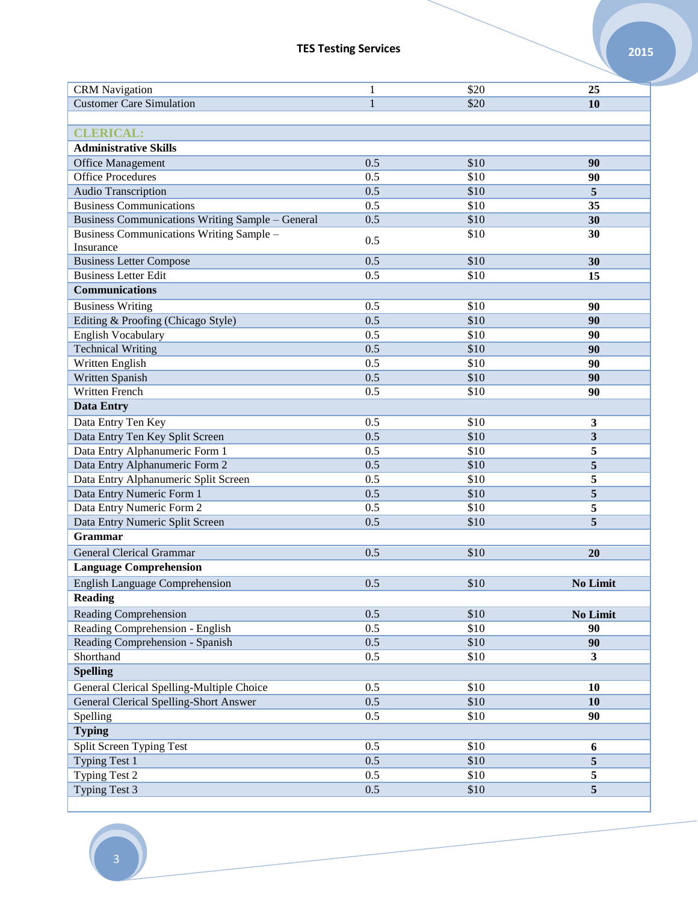| <b>CRM</b> Navigation                                   | 1            | \$20 | 25                      |
|---------------------------------------------------------|--------------|------|-------------------------|
| <b>Customer Care Simulation</b>                         | $\mathbf{1}$ | \$20 | 10                      |
|                                                         |              |      |                         |
| <b>CLERICAL:</b>                                        |              |      |                         |
| <b>Administrative Skills</b>                            |              |      |                         |
| <b>Office Management</b>                                | 0.5          | \$10 | 90                      |
| <b>Office Procedures</b>                                | 0.5          | \$10 | 90                      |
| Audio Transcription                                     | 0.5          | \$10 | 5                       |
| <b>Business Communications</b>                          | 0.5          | \$10 | 35                      |
| <b>Business Communications Writing Sample - General</b> | 0.5          | \$10 | 30                      |
| Business Communications Writing Sample -                |              | \$10 | 30                      |
| Insurance                                               | 0.5          |      |                         |
| <b>Business Letter Compose</b>                          | 0.5          | \$10 | 30                      |
| <b>Business Letter Edit</b>                             | 0.5          | \$10 | 15                      |
| <b>Communications</b>                                   |              |      |                         |
| <b>Business Writing</b>                                 | 0.5          | \$10 | 90                      |
| Editing & Proofing (Chicago Style)                      | 0.5          | \$10 | 90                      |
| <b>English Vocabulary</b>                               | 0.5          | \$10 | 90                      |
| <b>Technical Writing</b>                                | 0.5          | \$10 | 90                      |
| Written English                                         | 0.5          | \$10 | 90                      |
| Written Spanish                                         | 0.5          | \$10 | 90                      |
| Written French                                          | 0.5          | \$10 | 90                      |
| <b>Data Entry</b>                                       |              |      |                         |
| Data Entry Ten Key                                      | 0.5          | \$10 | 3                       |
| Data Entry Ten Key Split Screen                         | 0.5          | \$10 | 3                       |
| Data Entry Alphanumeric Form 1                          | 0.5          | \$10 | 5                       |
| Data Entry Alphanumeric Form 2                          | 0.5          | \$10 | 5                       |
| Data Entry Alphanumeric Split Screen                    | 0.5          | \$10 | 5                       |
| Data Entry Numeric Form 1                               | 0.5          | \$10 | 5                       |
| Data Entry Numeric Form 2                               | 0.5          | \$10 | 5                       |
| Data Entry Numeric Split Screen                         | 0.5          | \$10 | 5                       |
| <b>Grammar</b>                                          |              |      |                         |
| <b>General Clerical Grammar</b>                         | 0.5          | \$10 | 20                      |
| <b>Language Comprehension</b>                           |              |      |                         |
| <b>English Language Comprehension</b>                   | 0.5          | \$10 | <b>No Limit</b>         |
| <b>Reading</b>                                          |              |      |                         |
| <b>Reading Comprehension</b>                            | 0.5          | \$10 |                         |
| Reading Comprehension - English                         | 0.5          | \$10 | <b>No Limit</b><br>90   |
| Reading Comprehension - Spanish                         | 0.5          | \$10 | 90                      |
| Shorthand                                               | 0.5          | \$10 | $\mathbf{3}$            |
| <b>Spelling</b>                                         |              |      |                         |
|                                                         |              |      |                         |
| General Clerical Spelling-Multiple Choice               | 0.5          | \$10 | 10                      |
| <b>General Clerical Spelling-Short Answer</b>           | 0.5          | \$10 | 10                      |
| Spelling                                                | 0.5          | \$10 | 90                      |
| <b>Typing</b>                                           |              |      |                         |
| Split Screen Typing Test                                | 0.5          | \$10 | 6                       |
| <b>Typing Test 1</b>                                    | 0.5          | \$10 | $\overline{\mathbf{5}}$ |
| Typing Test 2                                           | 0.5          | \$10 | 5                       |
| Typing Test 3                                           | 0.5          | \$10 | 5                       |
|                                                         |              |      |                         |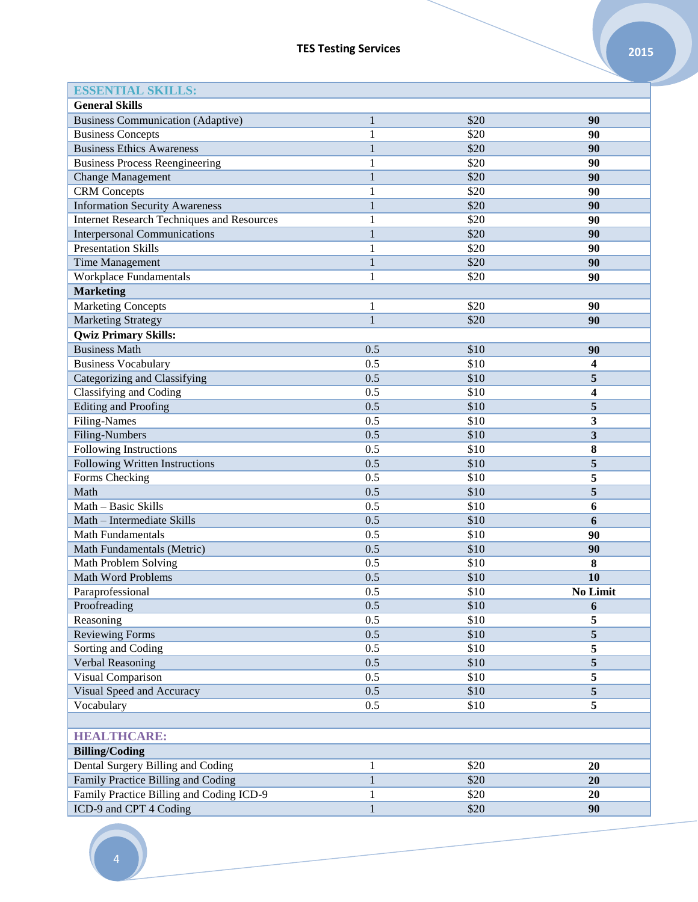| <b>ESSENTIAL SKILLS:</b>                          |                              |      |                 |
|---------------------------------------------------|------------------------------|------|-----------------|
| <b>General Skills</b>                             |                              |      |                 |
| <b>Business Communication (Adaptive)</b>          | $\mathbf{1}$                 | \$20 | 90              |
| <b>Business Concepts</b>                          | 1                            | \$20 | 90              |
| <b>Business Ethics Awareness</b>                  | $\mathbf{1}$                 | \$20 | 90              |
| <b>Business Process Reengineering</b>             | 1                            | \$20 | 90              |
| <b>Change Management</b>                          | $\mathbf{1}$                 | \$20 | 90              |
| <b>CRM</b> Concepts                               | 1                            | \$20 | 90              |
| <b>Information Security Awareness</b>             | $\mathbf{1}$                 | \$20 | 90              |
| <b>Internet Research Techniques and Resources</b> | 1                            | \$20 | 90              |
| <b>Interpersonal Communications</b>               | $\mathbf{1}$                 | \$20 | 90              |
| <b>Presentation Skills</b>                        | 1                            | \$20 | 90              |
| <b>Time Management</b>                            | $\mathbf{1}$                 | \$20 | 90              |
| Workplace Fundamentals                            | 1                            | \$20 | 90              |
| <b>Marketing</b>                                  |                              |      |                 |
| <b>Marketing Concepts</b>                         | 1                            | \$20 | 90              |
| <b>Marketing Strategy</b>                         | $\mathbf{1}$                 | \$20 | 90              |
| <b>Qwiz Primary Skills:</b>                       |                              |      |                 |
| <b>Business Math</b>                              | 0.5                          | \$10 | 90              |
| <b>Business Vocabulary</b>                        | 0.5                          | \$10 | 4               |
| Categorizing and Classifying                      | 0.5                          | \$10 | 5               |
| <b>Classifying and Coding</b>                     | 0.5                          | \$10 | 4               |
| Editing and Proofing                              | 0.5                          | \$10 | 5               |
| <b>Filing-Names</b>                               | 0.5                          | \$10 | 3               |
| Filing-Numbers                                    | 0.5                          | \$10 | 3               |
| Following Instructions                            | 0.5                          | \$10 | 8               |
| Following Written Instructions                    | 0.5                          | \$10 | 5               |
| Forms Checking                                    | 0.5                          | \$10 | 5               |
| Math                                              | 0.5                          | \$10 | 5               |
| Math - Basic Skills                               | 0.5                          | \$10 | 6               |
| Math - Intermediate Skills                        | 0.5                          | \$10 | 6               |
| Math Fundamentals                                 | 0.5                          | \$10 | 90              |
| Math Fundamentals (Metric)                        | 0.5                          | \$10 | 90              |
| Math Problem Solving                              | 0.5                          | \$10 | 8               |
| <b>Math Word Problems</b>                         | 0.5                          | \$10 | 10              |
| Paraprofessional                                  | 0.5                          | \$10 | <b>No Limit</b> |
| Proofreading                                      | 0.5                          | \$10 | 6               |
| Reasoning                                         | 0.5                          | \$10 | 5               |
| <b>Reviewing Forms</b>                            | 0.5                          | \$10 | 5               |
| Sorting and Coding                                | 0.5                          | \$10 | 5               |
| Verbal Reasoning                                  | 0.5                          | \$10 | 5               |
| Visual Comparison                                 | 0.5                          | \$10 | 5               |
| Visual Speed and Accuracy                         | 0.5                          | \$10 | $\overline{5}$  |
| Vocabulary                                        | 0.5                          | \$10 | 5               |
|                                                   |                              |      |                 |
| <b>HEALTHCARE:</b>                                |                              |      |                 |
|                                                   |                              |      |                 |
| <b>Billing/Coding</b>                             |                              |      |                 |
| Dental Surgery Billing and Coding                 | $\mathbf{1}$<br>$\mathbf{1}$ | \$20 | 20              |
| Family Practice Billing and Coding                |                              | \$20 | 20              |
| Family Practice Billing and Coding ICD-9          |                              | \$20 | 20              |
| ICD-9 and CPT 4 Coding                            | 1                            | \$20 | 90              |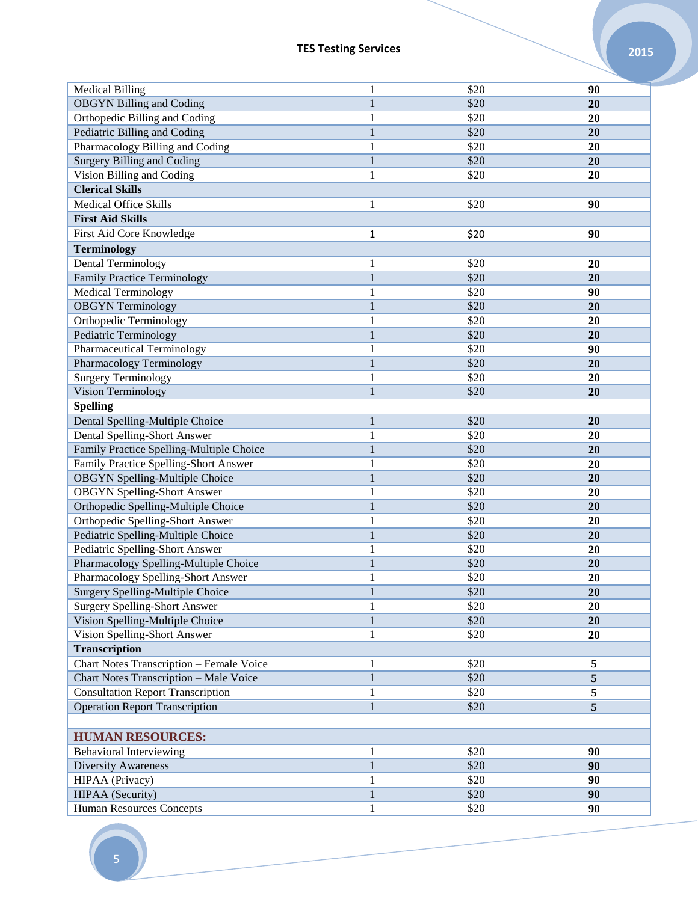| <b>Medical Billing</b>                   | 1            | \$20 | 90        |
|------------------------------------------|--------------|------|-----------|
| <b>OBGYN Billing and Coding</b>          | $\mathbf{1}$ | \$20 | <b>20</b> |
| Orthopedic Billing and Coding            | 1            | \$20 | 20        |
| Pediatric Billing and Coding             | $\mathbf{1}$ | \$20 | 20        |
| Pharmacology Billing and Coding          | 1            | \$20 | 20        |
| <b>Surgery Billing and Coding</b>        | $\mathbf{1}$ | \$20 | 20        |
| Vision Billing and Coding                | 1            | \$20 | 20        |
| <b>Clerical Skills</b>                   |              |      |           |
| <b>Medical Office Skills</b>             | 1            | \$20 | 90        |
| <b>First Aid Skills</b>                  |              |      |           |
| First Aid Core Knowledge                 | 1            | \$20 | 90        |
| <b>Terminology</b>                       |              |      |           |
| Dental Terminology                       | $\mathbf{1}$ | \$20 | 20        |
| <b>Family Practice Terminology</b>       | $\mathbf{1}$ | \$20 | 20        |
| <b>Medical Terminology</b>               | $\mathbf{1}$ | \$20 | 90        |
| <b>OBGYN</b> Terminology                 | $\mathbf{1}$ | \$20 | 20        |
| Orthopedic Terminology                   | 1            | \$20 | 20        |
| Pediatric Terminology                    | $\mathbf{1}$ | \$20 | 20        |
| Pharmaceutical Terminology               | 1            | \$20 | 90        |
| Pharmacology Terminology                 | $\mathbf{1}$ | \$20 | 20        |
| Surgery Terminology                      | 1            | \$20 | 20        |
| Vision Terminology                       | $\mathbf{1}$ | \$20 | 20        |
| <b>Spelling</b>                          |              |      |           |
| Dental Spelling-Multiple Choice          | $\mathbf{1}$ | \$20 | 20        |
| Dental Spelling-Short Answer             | 1            | \$20 | 20        |
| Family Practice Spelling-Multiple Choice | $\mathbf{1}$ | \$20 | 20        |
| Family Practice Spelling-Short Answer    | $\mathbf{1}$ | \$20 | 20        |
| <b>OBGYN</b> Spelling-Multiple Choice    | $\mathbf{1}$ | \$20 | 20        |
| <b>OBGYN</b> Spelling-Short Answer       | 1            | \$20 | 20        |
| Orthopedic Spelling-Multiple Choice      | $\mathbf{1}$ | \$20 | 20        |
| Orthopedic Spelling-Short Answer         | 1            | \$20 | 20        |
| Pediatric Spelling-Multiple Choice       | $\mathbf{1}$ | \$20 | 20        |
| Pediatric Spelling-Short Answer          | $\mathbf{1}$ | \$20 | 20        |
| Pharmacology Spelling-Multiple Choice    | $\mathbf{1}$ | \$20 | 20        |
| Pharmacology Spelling-Short Answer       | $\mathbf{1}$ | \$20 | 20        |
| Surgery Spelling-Multiple Choice         | $\mathbf{1}$ | \$20 | 20        |
| <b>Surgery Spelling-Short Answer</b>     | 1            | \$20 | 20        |
| Vision Spelling-Multiple Choice          | $\mathbf{1}$ | \$20 | 20        |
| Vision Spelling-Short Answer             | 1            | \$20 | 20        |
| <b>Transcription</b>                     |              |      |           |
| Chart Notes Transcription - Female Voice | 1            | \$20 | 5         |
| Chart Notes Transcription - Male Voice   | $\mathbf{1}$ | \$20 | 5         |
| <b>Consultation Report Transcription</b> | $\mathbf{1}$ | \$20 | 5         |
| <b>Operation Report Transcription</b>    | $\mathbf{1}$ | \$20 | 5         |
|                                          |              |      |           |
| <b>HUMAN RESOURCES:</b>                  |              |      |           |
| <b>Behavioral Interviewing</b>           | 1            | \$20 | 90        |
| Diversity Awareness                      | $\mathbf{1}$ | \$20 | 90        |
| HIPAA (Privacy)                          | 1            | \$20 | 90        |
| HIPAA (Security)                         | $\mathbf{1}$ | \$20 | 90        |
| Human Resources Concepts                 | $\mathbf{1}$ | \$20 | 90        |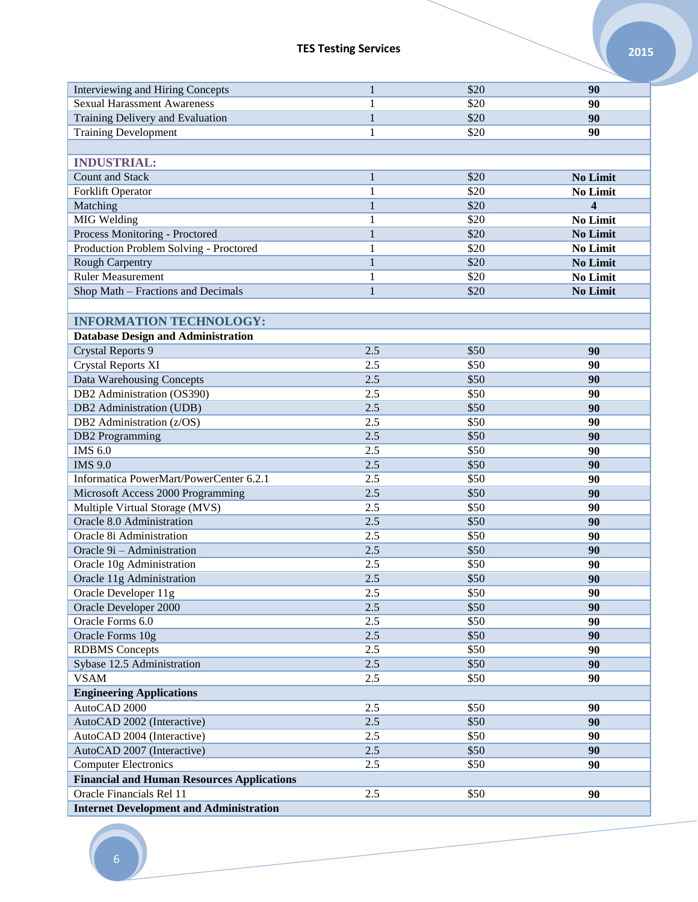| Interviewing and Hiring Concepts                  | 1            | \$20 | 90              |
|---------------------------------------------------|--------------|------|-----------------|
| <b>Sexual Harassment Awareness</b>                | 1            | \$20 | 90              |
| Training Delivery and Evaluation                  | $\mathbf{1}$ | \$20 | 90              |
| <b>Training Development</b>                       | 1            | \$20 | 90              |
|                                                   |              |      |                 |
| <b>INDUSTRIAL:</b>                                |              |      |                 |
| <b>Count and Stack</b>                            | $\mathbf{1}$ | \$20 | No Limit        |
| Forklift Operator                                 | 1            | \$20 | <b>No Limit</b> |
| Matching                                          | $\mathbf{1}$ | \$20 | 4               |
| MIG Welding                                       | 1            | \$20 | No Limit        |
| Process Monitoring - Proctored                    | $\mathbf{1}$ | \$20 | <b>No Limit</b> |
| Production Problem Solving - Proctored            | 1            | \$20 | No Limit        |
| <b>Rough Carpentry</b>                            | $\mathbf{1}$ | \$20 | No Limit        |
| <b>Ruler Measurement</b>                          | 1            | \$20 | No Limit        |
| Shop Math - Fractions and Decimals                | 1            | \$20 | <b>No Limit</b> |
|                                                   |              |      |                 |
| <b>INFORMATION TECHNOLOGY:</b>                    |              |      |                 |
| <b>Database Design and Administration</b>         |              |      |                 |
| <b>Crystal Reports 9</b>                          | 2.5          | \$50 | 90              |
| <b>Crystal Reports XI</b>                         | 2.5          | \$50 | 90              |
| Data Warehousing Concepts                         | 2.5          | \$50 | 90              |
|                                                   |              |      |                 |
| DB2 Administration (OS390)                        | 2.5          | \$50 | 90              |
| DB2 Administration (UDB)                          | 2.5          | \$50 | 90              |
| DB2 Administration (z/OS)                         | 2.5          | \$50 | 90              |
| <b>DB2</b> Programming                            | 2.5          | \$50 | 90              |
| <b>IMS 6.0</b>                                    | 2.5          | \$50 | 90              |
| <b>IMS 9.0</b>                                    | 2.5          | \$50 | 90              |
| Informatica PowerMart/PowerCenter 6.2.1           | 2.5          | \$50 | 90              |
| Microsoft Access 2000 Programming                 | 2.5          | \$50 | 90              |
| Multiple Virtual Storage (MVS)                    | 2.5          | \$50 | 90              |
| Oracle 8.0 Administration                         | 2.5          | \$50 | 90              |
| Oracle 8i Administration                          | 2.5          | \$50 | 90              |
| Oracle 9i - Administration                        | 2.5          | \$50 | 90              |
| Oracle 10g Administration                         | 2.5          | \$50 | 90              |
| Oracle 11g Administration                         | 2.5          | \$50 | 90              |
| Oracle Developer 11g                              | 2.5          | \$50 | 90              |
| Oracle Developer 2000                             | 2.5          | \$50 | 90              |
| Oracle Forms 6.0                                  | 2.5          | \$50 | 90              |
| Oracle Forms 10g                                  | $2.5$        | \$50 | 90              |
| <b>RDBMS</b> Concepts                             | 2.5          | \$50 | 90              |
| Sybase 12.5 Administration                        | 2.5          | \$50 | 90              |
| <b>VSAM</b>                                       | 2.5          | \$50 | 90              |
| <b>Engineering Applications</b>                   |              |      |                 |
| AutoCAD 2000                                      | 2.5          | \$50 | 90              |
| AutoCAD 2002 (Interactive)                        | 2.5          | \$50 | 90              |
| AutoCAD 2004 (Interactive)                        | 2.5          | \$50 | 90              |
| AutoCAD 2007 (Interactive)                        | $2.5$        | \$50 | 90              |
| <b>Computer Electronics</b>                       | 2.5          | \$50 | 90              |
| <b>Financial and Human Resources Applications</b> |              |      |                 |
| Oracle Financials Rel 11                          | 2.5          | \$50 | 90              |
| <b>Internet Development and Administration</b>    |              |      |                 |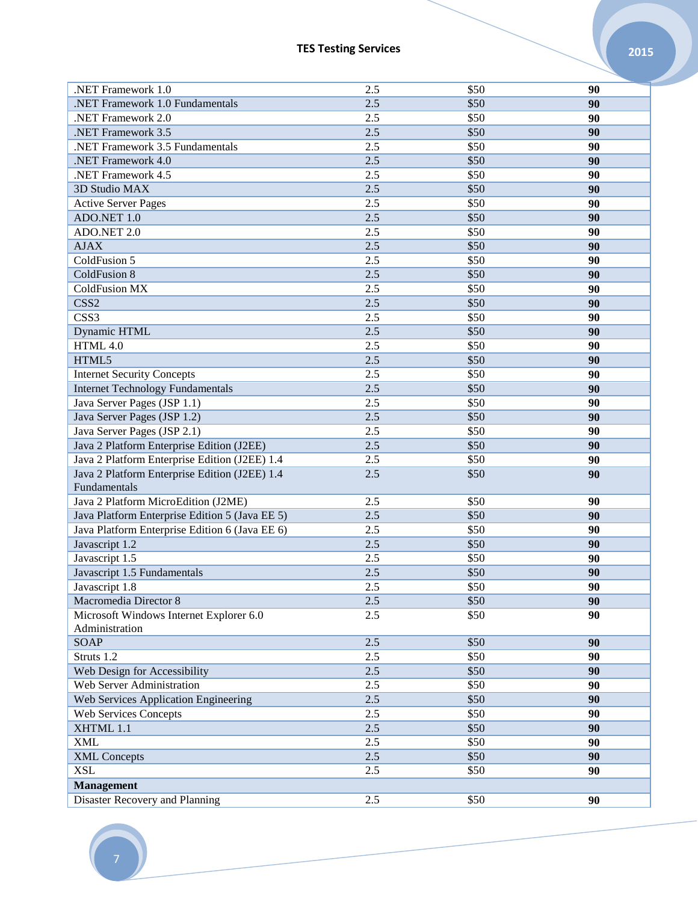| .NET Framework 1.0                                                                                                                               | 2.5   | \$50 | 90 |
|--------------------------------------------------------------------------------------------------------------------------------------------------|-------|------|----|
| .NET Framework 1.0 Fundamentals                                                                                                                  | 2.5   | \$50 | 90 |
| .NET Framework 2.0                                                                                                                               | 2.5   | \$50 | 90 |
| .NET Framework 3.5                                                                                                                               | 2.5   | \$50 | 90 |
| .NET Framework 3.5 Fundamentals                                                                                                                  | 2.5   | \$50 | 90 |
| .NET Framework 4.0                                                                                                                               | 2.5   | \$50 | 90 |
| .NET Framework 4.5                                                                                                                               | 2.5   | \$50 | 90 |
| 3D Studio MAX                                                                                                                                    | 2.5   | \$50 | 90 |
| <b>Active Server Pages</b>                                                                                                                       | 2.5   | \$50 | 90 |
| ADO.NET 1.0                                                                                                                                      | 2.5   | \$50 | 90 |
| ADO.NET 2.0                                                                                                                                      | 2.5   | \$50 | 90 |
| $\ensuremath{\mbox{\textbf{A}}}\xspace\ensuremath{\mbox{\textbf{J}}} \xspace\ensuremath{\mbox{\textbf{A}}}\xspace\ensuremath{\mbox{\textbf{X}}}$ | 2.5   | \$50 | 90 |
| ColdFusion 5                                                                                                                                     | 2.5   | \$50 | 90 |
| ColdFusion 8                                                                                                                                     | 2.5   | \$50 | 90 |
| <b>ColdFusion MX</b>                                                                                                                             | 2.5   | \$50 | 90 |
| CSS <sub>2</sub>                                                                                                                                 | 2.5   | \$50 | 90 |
| CSS3                                                                                                                                             | 2.5   | \$50 | 90 |
| Dynamic HTML                                                                                                                                     | 2.5   | \$50 | 90 |
| HTML 4.0                                                                                                                                         | 2.5   | \$50 | 90 |
| HTML5                                                                                                                                            | 2.5   | \$50 | 90 |
| <b>Internet Security Concepts</b>                                                                                                                | 2.5   | \$50 | 90 |
| <b>Internet Technology Fundamentals</b>                                                                                                          | 2.5   | \$50 | 90 |
| Java Server Pages (JSP 1.1)                                                                                                                      | 2.5   | \$50 | 90 |
| Java Server Pages (JSP 1.2)                                                                                                                      | 2.5   | \$50 | 90 |
| Java Server Pages (JSP 2.1)                                                                                                                      | 2.5   | \$50 | 90 |
| Java 2 Platform Enterprise Edition (J2EE)                                                                                                        | 2.5   | \$50 | 90 |
| Java 2 Platform Enterprise Edition (J2EE) 1.4                                                                                                    | 2.5   | \$50 | 90 |
| Java 2 Platform Enterprise Edition (J2EE) 1.4                                                                                                    | $2.5$ | \$50 | 90 |
| Fundamentals                                                                                                                                     |       |      |    |
| Java 2 Platform MicroEdition (J2ME)                                                                                                              | 2.5   | \$50 | 90 |
| Java Platform Enterprise Edition 5 (Java EE 5)                                                                                                   | 2.5   | \$50 | 90 |
| Java Platform Enterprise Edition 6 (Java EE 6)                                                                                                   | 2.5   | \$50 | 90 |
| Javascript 1.2                                                                                                                                   | 2.5   | \$50 | 90 |
| Javascript 1.5                                                                                                                                   | 2.5   | \$50 | 90 |
| Javascript 1.5 Fundamentals                                                                                                                      | 2.5   | \$50 | 90 |
| Javascript 1.8                                                                                                                                   | 2.5   | \$50 | 90 |
| Macromedia Director 8                                                                                                                            | 2.5   | \$50 | 90 |
| Microsoft Windows Internet Explorer 6.0                                                                                                          | 2.5   | \$50 | 90 |
| Administration                                                                                                                                   |       |      |    |
| <b>SOAP</b>                                                                                                                                      | 2.5   | \$50 | 90 |
| Struts 1.2                                                                                                                                       | 2.5   | \$50 | 90 |
| Web Design for Accessibility                                                                                                                     | $2.5$ | \$50 | 90 |
| Web Server Administration                                                                                                                        | 2.5   | \$50 | 90 |
| Web Services Application Engineering                                                                                                             | 2.5   | \$50 | 90 |
| <b>Web Services Concepts</b>                                                                                                                     | 2.5   | \$50 | 90 |
| XHTML 1.1                                                                                                                                        | 2.5   | \$50 | 90 |
| <b>XML</b>                                                                                                                                       | 2.5   | \$50 | 90 |
| <b>XML</b> Concepts                                                                                                                              | $2.5$ | \$50 | 90 |
| <b>XSL</b>                                                                                                                                       | 2.5   | \$50 | 90 |
| <b>Management</b>                                                                                                                                |       |      |    |
| Disaster Recovery and Planning                                                                                                                   | 2.5   | \$50 | 90 |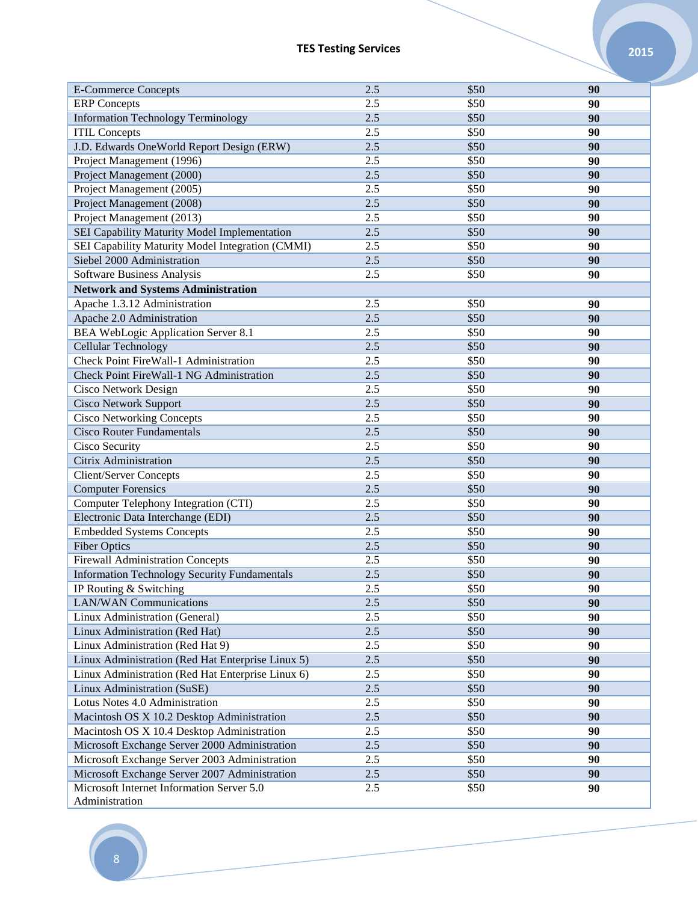| <b>E-Commerce Concepts</b>                          | 2.5   | \$50 | 90 |
|-----------------------------------------------------|-------|------|----|
| <b>ERP</b> Concepts                                 | 2.5   | \$50 | 90 |
| <b>Information Technology Terminology</b>           | 2.5   | \$50 | 90 |
| <b>ITIL Concepts</b>                                | 2.5   | \$50 | 90 |
| J.D. Edwards OneWorld Report Design (ERW)           | 2.5   | \$50 | 90 |
| Project Management (1996)                           | 2.5   | \$50 | 90 |
| Project Management (2000)                           | 2.5   | \$50 | 90 |
| Project Management (2005)                           | 2.5   | \$50 | 90 |
| Project Management (2008)                           | 2.5   | \$50 | 90 |
| Project Management (2013)                           | 2.5   | \$50 | 90 |
| SEI Capability Maturity Model Implementation        | 2.5   | \$50 | 90 |
| SEI Capability Maturity Model Integration (CMMI)    | 2.5   | \$50 | 90 |
| Siebel 2000 Administration                          | 2.5   | \$50 | 90 |
| Software Business Analysis                          | 2.5   | \$50 | 90 |
| <b>Network and Systems Administration</b>           |       |      |    |
| Apache 1.3.12 Administration                        | 2.5   | \$50 | 90 |
| Apache 2.0 Administration                           | 2.5   | \$50 | 90 |
| <b>BEA WebLogic Application Server 8.1</b>          | 2.5   | \$50 | 90 |
| Cellular Technology                                 | 2.5   | \$50 | 90 |
| Check Point FireWall-1 Administration               | 2.5   | \$50 | 90 |
| Check Point FireWall-1 NG Administration            | 2.5   | \$50 | 90 |
| Cisco Network Design                                | 2.5   | \$50 | 90 |
| <b>Cisco Network Support</b>                        | 2.5   | \$50 | 90 |
| <b>Cisco Networking Concepts</b>                    | 2.5   | \$50 | 90 |
| <b>Cisco Router Fundamentals</b>                    | 2.5   | \$50 | 90 |
| Cisco Security                                      | 2.5   | \$50 | 90 |
| <b>Citrix Administration</b>                        | 2.5   | \$50 | 90 |
| <b>Client/Server Concepts</b>                       | 2.5   | \$50 | 90 |
| <b>Computer Forensics</b>                           | 2.5   | \$50 | 90 |
| Computer Telephony Integration (CTI)                | 2.5   | \$50 | 90 |
| Electronic Data Interchange (EDI)                   | 2.5   | \$50 | 90 |
| <b>Embedded Systems Concepts</b>                    | 2.5   | \$50 | 90 |
| <b>Fiber Optics</b>                                 | 2.5   | \$50 | 90 |
| <b>Firewall Administration Concepts</b>             | 2.5   | \$50 | 90 |
| <b>Information Technology Security Fundamentals</b> | 2.5   | \$50 | 90 |
| IP Routing & Switching                              | 2.5   | \$50 | 90 |
| <b>LAN/WAN</b> Communications                       | $2.5$ | \$50 | 90 |
| Linux Administration (General)                      | 2.5   | \$50 | 90 |
| Linux Administration (Red Hat)                      | 2.5   | \$50 | 90 |
| Linux Administration (Red Hat 9)                    | 2.5   | \$50 | 90 |
| Linux Administration (Red Hat Enterprise Linux 5)   | $2.5$ | \$50 | 90 |
| Linux Administration (Red Hat Enterprise Linux 6)   | 2.5   | \$50 | 90 |
| Linux Administration (SuSE)                         | $2.5$ | \$50 | 90 |
| Lotus Notes 4.0 Administration                      | 2.5   | \$50 | 90 |
| Macintosh OS X 10.2 Desktop Administration          | 2.5   | \$50 | 90 |
| Macintosh OS X 10.4 Desktop Administration          | 2.5   | \$50 | 90 |
| Microsoft Exchange Server 2000 Administration       | 2.5   | \$50 | 90 |
| Microsoft Exchange Server 2003 Administration       | 2.5   | \$50 | 90 |
| Microsoft Exchange Server 2007 Administration       | 2.5   | \$50 | 90 |
| Microsoft Internet Information Server 5.0           | 2.5   | \$50 | 90 |
| Administration                                      |       |      |    |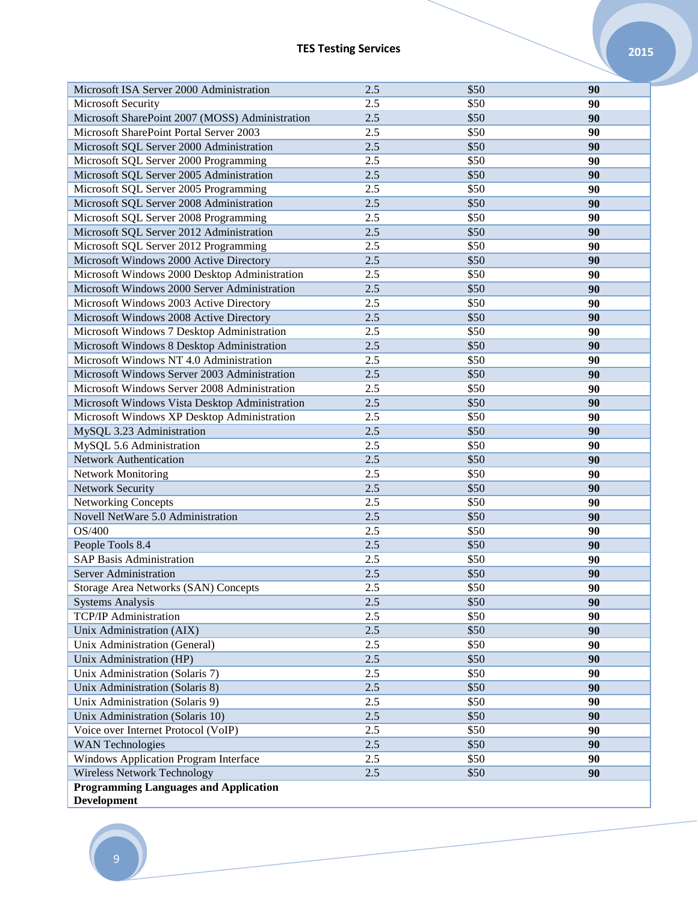| Microsoft ISA Server 2000 Administration                    | 2.5 | \$50 | 90 |
|-------------------------------------------------------------|-----|------|----|
| <b>Microsoft Security</b>                                   | 2.5 | \$50 | 90 |
| Microsoft SharePoint 2007 (MOSS) Administration             | 2.5 | \$50 | 90 |
| Microsoft SharePoint Portal Server 2003                     | 2.5 | \$50 | 90 |
| Microsoft SQL Server 2000 Administration                    | 2.5 | \$50 | 90 |
| Microsoft SQL Server 2000 Programming                       | 2.5 | \$50 | 90 |
| Microsoft SQL Server 2005 Administration                    | 2.5 | \$50 | 90 |
| Microsoft SQL Server 2005 Programming                       | 2.5 | \$50 | 90 |
| Microsoft SQL Server 2008 Administration                    | 2.5 | \$50 | 90 |
| Microsoft SQL Server 2008 Programming                       | 2.5 | \$50 | 90 |
| Microsoft SQL Server 2012 Administration                    | 2.5 | \$50 | 90 |
| Microsoft SQL Server 2012 Programming                       | 2.5 | \$50 | 90 |
| Microsoft Windows 2000 Active Directory                     | 2.5 | \$50 | 90 |
| Microsoft Windows 2000 Desktop Administration               | 2.5 | \$50 | 90 |
| Microsoft Windows 2000 Server Administration                | 2.5 | \$50 | 90 |
| Microsoft Windows 2003 Active Directory                     | 2.5 | \$50 | 90 |
| Microsoft Windows 2008 Active Directory                     | 2.5 | \$50 | 90 |
| Microsoft Windows 7 Desktop Administration                  | 2.5 | \$50 | 90 |
| Microsoft Windows 8 Desktop Administration                  | 2.5 | \$50 | 90 |
| Microsoft Windows NT 4.0 Administration                     | 2.5 | \$50 | 90 |
| Microsoft Windows Server 2003 Administration                | 2.5 | \$50 | 90 |
| Microsoft Windows Server 2008 Administration                | 2.5 | \$50 | 90 |
| Microsoft Windows Vista Desktop Administration              | 2.5 | \$50 | 90 |
| Microsoft Windows XP Desktop Administration                 | 2.5 | \$50 | 90 |
| MySQL 3.23 Administration                                   | 2.5 | \$50 | 90 |
| MySQL 5.6 Administration                                    | 2.5 | \$50 | 90 |
| <b>Network Authentication</b>                               | 2.5 | \$50 | 90 |
| <b>Network Monitoring</b>                                   | 2.5 | \$50 | 90 |
| Network Security                                            | 2.5 | \$50 | 90 |
| <b>Networking Concepts</b>                                  | 2.5 | \$50 | 90 |
| Novell NetWare 5.0 Administration                           | 2.5 | \$50 | 90 |
| OS/400                                                      | 2.5 | \$50 | 90 |
| People Tools 8.4                                            | 2.5 | \$50 | 90 |
| <b>SAP Basis Administration</b>                             | 2.5 | \$50 | 90 |
| <b>Server Administration</b>                                | 2.5 | \$50 | 90 |
| Storage Area Networks (SAN) Concepts                        | 2.5 | \$50 | 90 |
| <b>Systems Analysis</b>                                     | 2.5 | \$50 | 90 |
| <b>TCP/IP</b> Administration                                | 2.5 | \$50 | 90 |
| Unix Administration (AIX)                                   | 2.5 | \$50 | 90 |
| Unix Administration (General)                               | 2.5 | \$50 | 90 |
| Unix Administration (HP)                                    | 2.5 | \$50 | 90 |
| Unix Administration (Solaris 7)                             | 2.5 | \$50 | 90 |
| Unix Administration (Solaris 8)                             | 2.5 | \$50 | 90 |
| Unix Administration (Solaris 9)                             | 2.5 | \$50 | 90 |
| Unix Administration (Solaris 10)                            | 2.5 | \$50 | 90 |
| Voice over Internet Protocol (VoIP)                         | 2.5 | \$50 | 90 |
| <b>WAN Technologies</b>                                     | 2.5 | \$50 | 90 |
| Windows Application Program Interface                       | 2.5 | \$50 | 90 |
| <b>Wireless Network Technology</b>                          | 2.5 | \$50 | 90 |
| <b>Programming Languages and Application</b><br>Development |     |      |    |

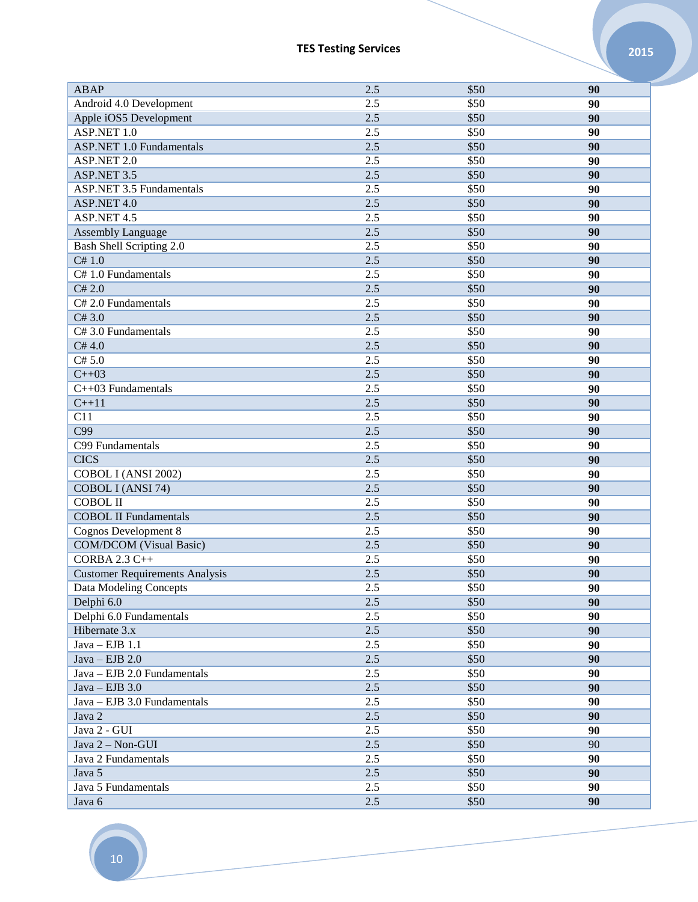| ABAP                                  | 2.5 | \$50 | 90              |
|---------------------------------------|-----|------|-----------------|
| Android 4.0 Development               | 2.5 | \$50 | 90              |
| Apple iOS5 Development                | 2.5 | \$50 | 90              |
| ASP.NET 1.0                           | 2.5 | \$50 | 90              |
| <b>ASP.NET 1.0 Fundamentals</b>       | 2.5 | \$50 | 90              |
| ASP.NET 2.0                           | 2.5 | \$50 | 90              |
| ASP.NET 3.5                           | 2.5 | \$50 | 90              |
| <b>ASP.NET 3.5 Fundamentals</b>       | 2.5 | \$50 | 90              |
| ASP.NET 4.0                           | 2.5 | \$50 | 90              |
| ASP.NET 4.5                           | 2.5 | \$50 | 90              |
| Assembly Language                     | 2.5 | \$50 | 90              |
| <b>Bash Shell Scripting 2.0</b>       | 2.5 | \$50 | 90              |
| C# 1.0                                | 2.5 | \$50 | 90              |
| C#1.0 Fundamentals                    | 2.5 | \$50 | 90              |
| C# 2.0                                | 2.5 | \$50 | 90              |
| C# 2.0 Fundamentals                   | 2.5 | \$50 | 90              |
| C#3.0                                 | 2.5 | \$50 | 90              |
| C#3.0 Fundamentals                    | 2.5 | \$50 | 90              |
| C#4.0                                 | 2.5 | \$50 | 90              |
| C# 5.0                                | 2.5 | \$50 | 90              |
| $C++03$                               | 2.5 | \$50 | 90              |
| C++03 Fundamentals                    | 2.5 | \$50 | 90              |
| $C+11$                                | 2.5 | \$50 | 90              |
| C11                                   | 2.5 | \$50 | 90              |
| C99                                   | 2.5 | \$50 | 90              |
| C99 Fundamentals                      | 2.5 | \$50 | 90              |
| <b>CICS</b>                           | 2.5 | \$50 | 90              |
| COBOL I (ANSI 2002)                   | 2.5 | \$50 | 90              |
| COBOL I (ANSI 74)                     | 2.5 | \$50 | 90              |
| <b>COBOL II</b>                       | 2.5 | \$50 | 90              |
| <b>COBOL II Fundamentals</b>          | 2.5 | \$50 | 90              |
| <b>Cognos Development 8</b>           | 2.5 | \$50 | 90              |
| <b>COM/DCOM</b> (Visual Basic)        | 2.5 | \$50 | 90              |
| <b>CORBA 2.3 C++</b>                  | 2.5 | \$50 | 90              |
| <b>Customer Requirements Analysis</b> | 2.5 | \$50 | 90              |
| Data Modeling Concepts                | 2.5 | \$50 | $\overline{90}$ |
| Delphi 6.0                            | 2.5 | \$50 | 90              |
| Delphi 6.0 Fundamentals               | 2.5 | \$50 | 90              |
| Hibernate 3.x                         | 2.5 | \$50 | 90              |
| $Java - EJB$ 1.1                      | 2.5 | \$50 | 90              |
| $Java - EJB 2.0$                      | 2.5 | \$50 | 90              |
| Java - EJB 2.0 Fundamentals           | 2.5 | \$50 | 90              |
| $Java - EJB 3.0$                      | 2.5 | \$50 | 90              |
| Java - EJB 3.0 Fundamentals           | 2.5 | \$50 | 90              |
| Java 2                                | 2.5 | \$50 | 90              |
| Java 2 - GUI                          | 2.5 | \$50 | 90              |
| Java 2 - Non-GUI                      | 2.5 | \$50 | 90              |
| Java 2 Fundamentals                   | 2.5 | \$50 | 90              |
| Java 5                                | 2.5 | \$50 | 90              |
| Java 5 Fundamentals                   | 2.5 | \$50 | 90              |
|                                       |     |      |                 |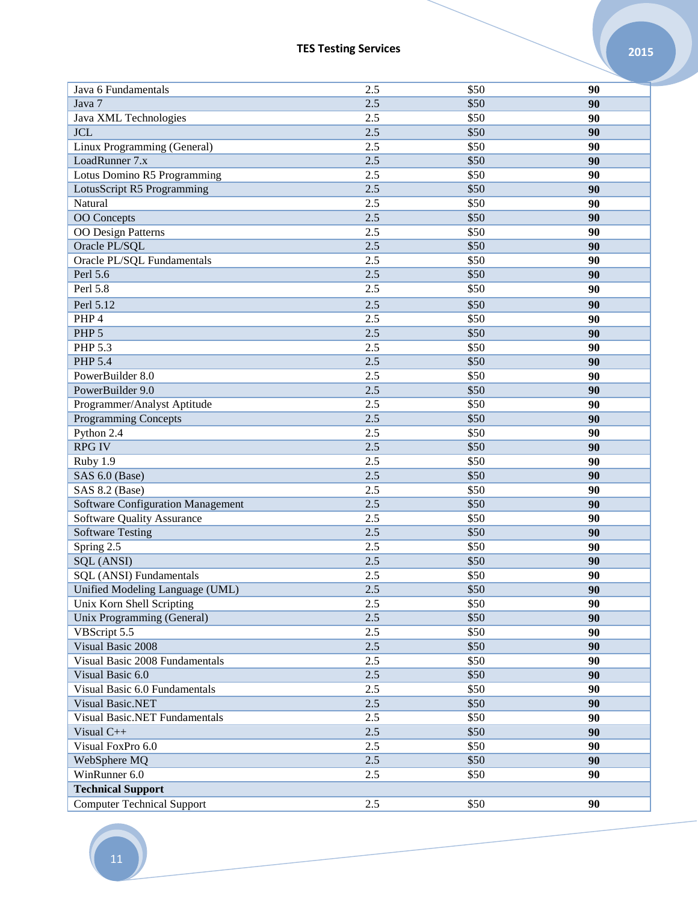| Java 6 Fundamentals               | 2.5   | \$50 | 90 |
|-----------------------------------|-------|------|----|
| Java 7                            | 2.5   | \$50 | 90 |
| Java XML Technologies             | 2.5   | \$50 | 90 |
| <b>JCL</b>                        | 2.5   | \$50 | 90 |
| Linux Programming (General)       | 2.5   | \$50 | 90 |
| LoadRunner 7.x                    | 2.5   | \$50 | 90 |
| Lotus Domino R5 Programming       | 2.5   | \$50 | 90 |
| LotusScript R5 Programming        | 2.5   | \$50 | 90 |
| Natural                           | 2.5   | \$50 | 90 |
| <b>OO</b> Concepts                | 2.5   | \$50 | 90 |
| <b>OO</b> Design Patterns         | 2.5   | \$50 | 90 |
| Oracle PL/SQL                     | 2.5   | \$50 | 90 |
| Oracle PL/SQL Fundamentals        | 2.5   | \$50 | 90 |
| Perl 5.6                          | 2.5   | \$50 | 90 |
| Perl 5.8                          | 2.5   | \$50 | 90 |
| Perl 5.12                         | 2.5   | \$50 | 90 |
| PHP 4                             | 2.5   | \$50 | 90 |
| PHP <sub>5</sub>                  | 2.5   | \$50 | 90 |
| PHP 5.3                           | 2.5   | \$50 | 90 |
| <b>PHP 5.4</b>                    | 2.5   | \$50 | 90 |
| PowerBuilder 8.0                  | 2.5   | \$50 | 90 |
| PowerBuilder 9.0                  | 2.5   | \$50 | 90 |
| Programmer/Analyst Aptitude       | 2.5   | \$50 | 90 |
| <b>Programming Concepts</b>       | 2.5   | \$50 | 90 |
| Python 2.4                        | 2.5   | \$50 | 90 |
| <b>RPG IV</b>                     | $2.5$ | \$50 | 90 |
| Ruby 1.9                          | 2.5   | \$50 | 90 |
| SAS 6.0 (Base)                    | 2.5   | \$50 | 90 |
| SAS 8.2 (Base)                    | 2.5   | \$50 | 90 |
| Software Configuration Management | 2.5   | \$50 | 90 |
| <b>Software Quality Assurance</b> | 2.5   | \$50 | 90 |
| <b>Software Testing</b>           | $2.5$ | \$50 | 90 |
| Spring 2.5                        | 2.5   | \$50 | 90 |
| SQL (ANSI)                        | 2.5   | \$50 | 90 |
| SQL (ANSI) Fundamentals           | 2.5   | \$50 | 90 |
| Unified Modeling Language (UML)   | 2.5   | \$50 | 90 |
| Unix Korn Shell Scripting         | 2.5   | \$50 | 90 |
| Unix Programming (General)        | 2.5   | \$50 | 90 |
| VBScript 5.5                      | 2.5   | \$50 | 90 |
| Visual Basic 2008                 | 2.5   | \$50 | 90 |
| Visual Basic 2008 Fundamentals    | 2.5   | \$50 | 90 |
| Visual Basic 6.0                  | 2.5   | \$50 | 90 |
| Visual Basic 6.0 Fundamentals     | 2.5   | \$50 | 90 |
| Visual Basic.NET                  | 2.5   | \$50 | 90 |
| Visual Basic.NET Fundamentals     | 2.5   | \$50 | 90 |
| Visual C++                        | 2.5   | \$50 | 90 |
| Visual FoxPro 6.0                 | 2.5   | \$50 | 90 |
| WebSphere MQ                      | 2.5   | \$50 | 90 |
| WinRunner 6.0                     | 2.5   | \$50 | 90 |
| <b>Technical Support</b>          |       |      |    |
| <b>Computer Technical Support</b> | 2.5   | \$50 | 90 |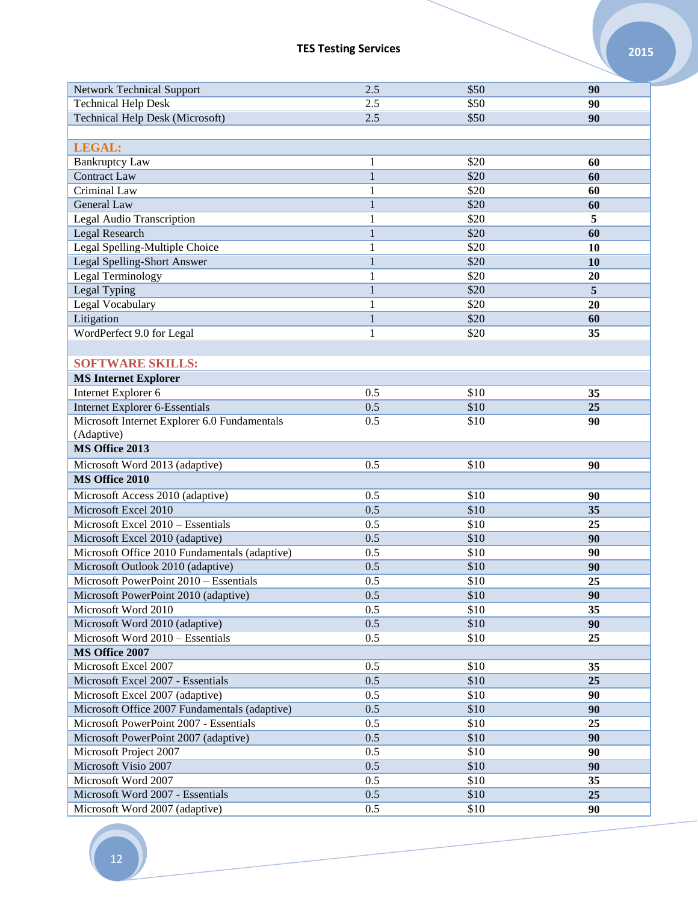| <b>Network Technical Support</b>              | 2.5          | \$50 | 90 |
|-----------------------------------------------|--------------|------|----|
| <b>Technical Help Desk</b>                    | 2.5          | \$50 | 90 |
| <b>Technical Help Desk (Microsoft)</b>        | 2.5          | \$50 | 90 |
|                                               |              |      |    |
| <b>LEGAL:</b>                                 |              |      |    |
| <b>Bankruptcy Law</b>                         | 1            | \$20 | 60 |
| <b>Contract Law</b>                           | $\mathbf{1}$ | \$20 | 60 |
| Criminal Law                                  | 1            | \$20 | 60 |
| <b>General Law</b>                            | $\mathbf{1}$ | \$20 | 60 |
| <b>Legal Audio Transcription</b>              | 1            | \$20 | 5  |
| Legal Research                                | $\mathbf{1}$ | \$20 | 60 |
| Legal Spelling-Multiple Choice                | $\mathbf{1}$ | \$20 | 10 |
| Legal Spelling-Short Answer                   | $\mathbf{1}$ | \$20 | 10 |
| Legal Terminology                             | 1            | \$20 | 20 |
| Legal Typing                                  | $\mathbf{1}$ | \$20 | 5  |
| Legal Vocabulary                              | 1            | \$20 | 20 |
| Litigation                                    | $\mathbf{1}$ | \$20 | 60 |
| WordPerfect 9.0 for Legal                     | 1            | \$20 | 35 |
|                                               |              |      |    |
| <b>SOFTWARE SKILLS:</b>                       |              |      |    |
|                                               |              |      |    |
| <b>MS Internet Explorer</b>                   |              |      |    |
| Internet Explorer 6                           | 0.5          | \$10 | 35 |
| <b>Internet Explorer 6-Essentials</b>         | 0.5          | \$10 | 25 |
| Microsoft Internet Explorer 6.0 Fundamentals  | 0.5          | \$10 | 90 |
| (Adaptive)<br>MS Office 2013                  |              |      |    |
|                                               |              |      |    |
| Microsoft Word 2013 (adaptive)                | 0.5          | \$10 | 90 |
| MS Office 2010                                |              |      |    |
| Microsoft Access 2010 (adaptive)              | 0.5          | \$10 | 90 |
| Microsoft Excel 2010                          | 0.5          | \$10 | 35 |
| Microsoft Excel 2010 - Essentials             | 0.5          | \$10 | 25 |
| Microsoft Excel 2010 (adaptive)               | 0.5          | \$10 | 90 |
| Microsoft Office 2010 Fundamentals (adaptive) | 0.5          | \$10 | 90 |
| Microsoft Outlook 2010 (adaptive)             | 0.5          | \$10 | 90 |
| Microsoft PowerPoint 2010 - Essentials        | 0.5          | \$10 | 25 |
| Microsoft PowerPoint 2010 (adaptive)          | 0.5          | \$10 | 90 |
| Microsoft Word 2010                           | 0.5          | \$10 | 35 |
| Microsoft Word 2010 (adaptive)                | 0.5          | \$10 | 90 |
| Microsoft Word 2010 - Essentials              | 0.5          | \$10 | 25 |
| MS Office 2007                                |              |      |    |
| Microsoft Excel 2007                          | 0.5          | \$10 | 35 |
| Microsoft Excel 2007 - Essentials             | 0.5          | \$10 | 25 |
| Microsoft Excel 2007 (adaptive)               | 0.5          | \$10 | 90 |
| Microsoft Office 2007 Fundamentals (adaptive) | 0.5          | \$10 | 90 |
| Microsoft PowerPoint 2007 - Essentials        | 0.5          | \$10 | 25 |
| Microsoft PowerPoint 2007 (adaptive)          | 0.5          | \$10 | 90 |
| Microsoft Project 2007                        | 0.5          | \$10 | 90 |
| Microsoft Visio 2007                          | 0.5          | \$10 | 90 |
| Microsoft Word 2007                           | 0.5          | \$10 | 35 |
| Microsoft Word 2007 - Essentials              | 0.5          | \$10 | 25 |
| Microsoft Word 2007 (adaptive)                | 0.5          | \$10 | 90 |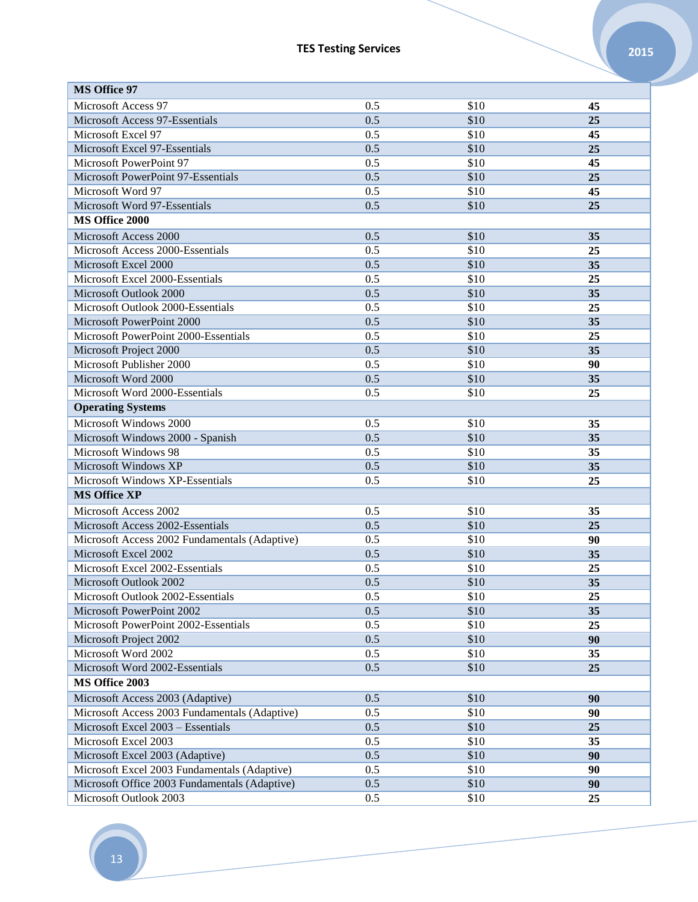| <b>MS Office 97</b>                           |     |      |    |
|-----------------------------------------------|-----|------|----|
| Microsoft Access 97                           | 0.5 | \$10 | 45 |
| Microsoft Access 97-Essentials                | 0.5 | \$10 | 25 |
| Microsoft Excel 97                            | 0.5 | \$10 | 45 |
| Microsoft Excel 97-Essentials                 | 0.5 | \$10 | 25 |
| Microsoft PowerPoint 97                       | 0.5 | \$10 | 45 |
| Microsoft PowerPoint 97-Essentials            | 0.5 | \$10 | 25 |
| Microsoft Word 97                             | 0.5 | \$10 | 45 |
| Microsoft Word 97-Essentials                  | 0.5 | \$10 | 25 |
| MS Office 2000                                |     |      |    |
| Microsoft Access 2000                         | 0.5 | \$10 | 35 |
| Microsoft Access 2000-Essentials              | 0.5 | \$10 | 25 |
| Microsoft Excel 2000                          | 0.5 | \$10 | 35 |
| Microsoft Excel 2000-Essentials               | 0.5 | \$10 | 25 |
| Microsoft Outlook 2000                        | 0.5 | \$10 | 35 |
| Microsoft Outlook 2000-Essentials             | 0.5 | \$10 | 25 |
| Microsoft PowerPoint 2000                     | 0.5 | \$10 | 35 |
| Microsoft PowerPoint 2000-Essentials          | 0.5 | \$10 | 25 |
| Microsoft Project 2000                        | 0.5 | \$10 | 35 |
| Microsoft Publisher 2000                      | 0.5 | \$10 | 90 |
| Microsoft Word 2000                           | 0.5 | \$10 | 35 |
| Microsoft Word 2000-Essentials                | 0.5 | \$10 | 25 |
| <b>Operating Systems</b>                      |     |      |    |
| Microsoft Windows 2000                        | 0.5 | \$10 | 35 |
| Microsoft Windows 2000 - Spanish              | 0.5 | \$10 | 35 |
| Microsoft Windows 98                          | 0.5 | \$10 | 35 |
| Microsoft Windows XP                          | 0.5 | \$10 | 35 |
| Microsoft Windows XP-Essentials               | 0.5 | \$10 | 25 |
| <b>MS Office XP</b>                           |     |      |    |
|                                               |     |      |    |
| Microsoft Access 2002                         | 0.5 | \$10 | 35 |
| Microsoft Access 2002-Essentials              | 0.5 | \$10 | 25 |
| Microsoft Access 2002 Fundamentals (Adaptive) | 0.5 | \$10 | 90 |
| Microsoft Excel 2002                          | 0.5 | \$10 | 35 |
| Microsoft Excel 2002-Essentials               | 0.5 | \$10 | 25 |
| Microsoft Outlook 2002                        | 0.5 | \$10 | 35 |
| Microsoft Outlook 2002-Essentials             | 0.5 | \$10 | 25 |
| Microsoft PowerPoint 2002                     | 0.5 | \$10 | 35 |
| Microsoft PowerPoint 2002-Essentials          | 0.5 | \$10 | 25 |
| Microsoft Project 2002                        | 0.5 | \$10 | 90 |
| Microsoft Word 2002                           | 0.5 | \$10 | 35 |
| Microsoft Word 2002-Essentials                | 0.5 | \$10 | 25 |
| MS Office 2003                                |     |      |    |
| Microsoft Access 2003 (Adaptive)              | 0.5 | \$10 | 90 |
| Microsoft Access 2003 Fundamentals (Adaptive) | 0.5 | \$10 | 90 |
| Microsoft Excel 2003 - Essentials             | 0.5 | \$10 | 25 |
| Microsoft Excel 2003                          | 0.5 | \$10 | 35 |
| Microsoft Excel 2003 (Adaptive)               | 0.5 | \$10 | 90 |
| Microsoft Excel 2003 Fundamentals (Adaptive)  | 0.5 | \$10 | 90 |
| Microsoft Office 2003 Fundamentals (Adaptive) | 0.5 | \$10 | 90 |
| Microsoft Outlook 2003                        | 0.5 | \$10 | 25 |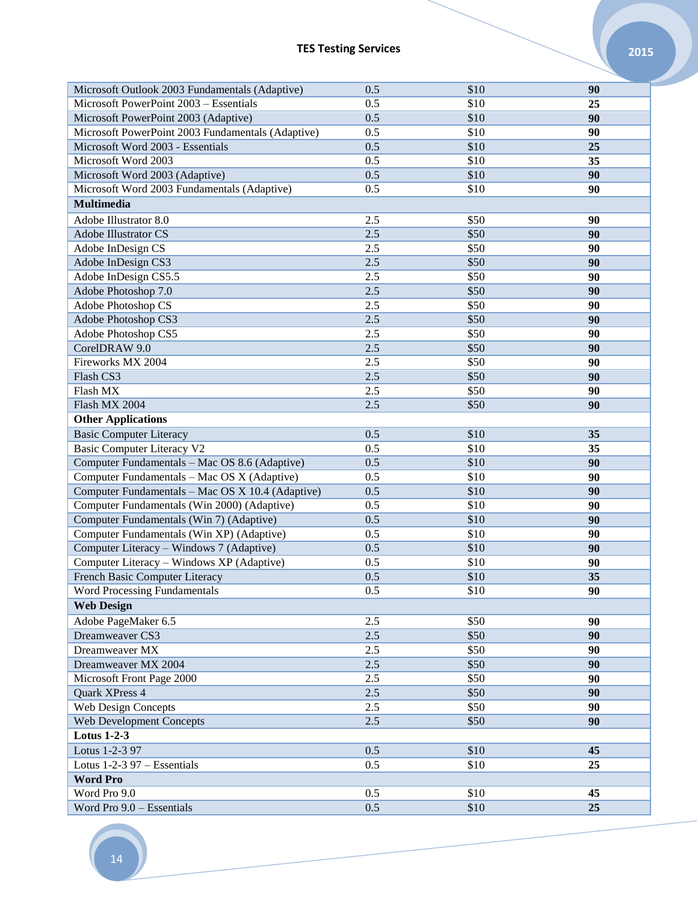| Microsoft Outlook 2003 Fundamentals (Adaptive)                                                  | 0.5        | \$10 | 90       |
|-------------------------------------------------------------------------------------------------|------------|------|----------|
| Microsoft PowerPoint 2003 - Essentials                                                          | 0.5        | \$10 | 25       |
| Microsoft PowerPoint 2003 (Adaptive)                                                            | 0.5        | \$10 | 90       |
| Microsoft PowerPoint 2003 Fundamentals (Adaptive)                                               | 0.5        | \$10 | 90       |
| Microsoft Word 2003 - Essentials                                                                | 0.5        | \$10 | 25       |
| Microsoft Word 2003                                                                             | 0.5        | \$10 | 35       |
| Microsoft Word 2003 (Adaptive)                                                                  | 0.5        | \$10 | 90       |
| Microsoft Word 2003 Fundamentals (Adaptive)                                                     | 0.5        | \$10 | 90       |
| <b>Multimedia</b>                                                                               |            |      |          |
| Adobe Illustrator 8.0                                                                           | 2.5        | \$50 | 90       |
| Adobe Illustrator CS                                                                            | 2.5        | \$50 | 90       |
| Adobe InDesign CS                                                                               | 2.5        | \$50 | 90       |
| Adobe InDesign CS3                                                                              | 2.5        | \$50 | 90       |
| Adobe InDesign CS5.5                                                                            | 2.5        | \$50 | 90       |
| Adobe Photoshop 7.0                                                                             | 2.5        | \$50 | 90       |
| Adobe Photoshop CS                                                                              | 2.5        | \$50 | 90       |
| Adobe Photoshop CS3                                                                             | 2.5        | \$50 | 90       |
| Adobe Photoshop CS5                                                                             | 2.5        | \$50 | 90       |
| CorelDRAW 9.0                                                                                   | 2.5        | \$50 | 90       |
| Fireworks MX 2004                                                                               | 2.5        | \$50 | 90       |
| Flash CS3                                                                                       | 2.5        | \$50 | 90       |
| Flash MX                                                                                        | 2.5        | \$50 | 90       |
| Flash MX 2004                                                                                   | 2.5        | \$50 | 90       |
| <b>Other Applications</b>                                                                       |            |      |          |
| <b>Basic Computer Literacy</b>                                                                  | 0.5        | \$10 | 35       |
|                                                                                                 | 0.5        | \$10 |          |
| Basic Computer Literacy V2                                                                      | 0.5        | \$10 | 35<br>90 |
| Computer Fundamentals - Mac OS 8.6 (Adaptive)                                                   | 0.5        | \$10 |          |
| Computer Fundamentals - Mac OS X (Adaptive)<br>Computer Fundamentals - Mac OS X 10.4 (Adaptive) | 0.5        | \$10 | 90       |
| Computer Fundamentals (Win 2000) (Adaptive)                                                     |            | \$10 | 90<br>90 |
|                                                                                                 | 0.5<br>0.5 | \$10 | 90       |
| Computer Fundamentals (Win 7) (Adaptive)                                                        |            | \$10 |          |
| Computer Fundamentals (Win XP) (Adaptive)                                                       | 0.5<br>0.5 | \$10 | 90       |
| Computer Literacy - Windows 7 (Adaptive)<br>Computer Literacy - Windows XP (Adaptive)           | 0.5        |      | 90       |
|                                                                                                 | 0.5        | \$10 | 90       |
| French Basic Computer Literacy                                                                  |            | \$10 | 35       |
| <b>Word Processing Fundamentals</b>                                                             | 0.5        | \$10 | 90       |
| <b>Web Design</b>                                                                               |            |      |          |
| Adobe PageMaker 6.5                                                                             | 2.5        | \$50 | 90       |
| Dreamweaver CS3                                                                                 | 2.5        | \$50 | 90       |
| Dreamweaver MX                                                                                  | 2.5        | \$50 | 90       |
| Dreamweaver MX 2004                                                                             | 2.5        | \$50 | 90       |
| Microsoft Front Page 2000                                                                       | 2.5        | \$50 | 90       |
| Quark XPress 4                                                                                  | 2.5        | \$50 | 90       |
| Web Design Concepts                                                                             | $2.5\,$    | \$50 | 90       |
| Web Development Concepts                                                                        | 2.5        | \$50 | 90       |
| <b>Lotus 1-2-3</b>                                                                              |            |      |          |
| Lotus 1-2-3 97                                                                                  | 0.5        | \$10 | 45       |
| Lotus 1-2-3 97 - Essentials                                                                     | 0.5        | \$10 | 25       |
| <b>Word Pro</b>                                                                                 |            |      |          |
| Word Pro 9.0                                                                                    | 0.5        | \$10 | 45       |
| Word Pro 9.0 - Essentials                                                                       | 0.5        | \$10 | 25       |